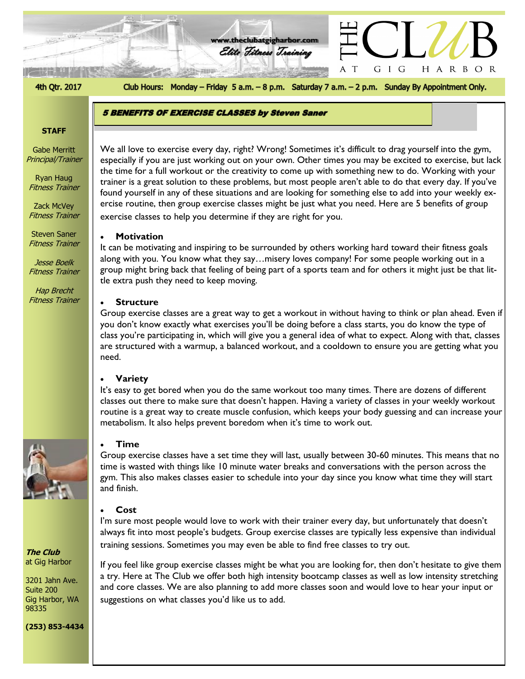4th Qtr. 2017

Club Hours: Monday - Friday 5 a.m. - 8 p.m. Saturday 7 a.m. - 2 p.m. Sunday By Appointment Only.

A  $\top$  H A R B O R

GIG

**www.theclubatgigharbor.com**

Elite Fitness Training

### **STAFF**

Gabe Merritt Principal/Trainer

Ryan Haug Fitness Trainer

Zack McVey Fitness Trainer

Steven Saner Fitness Trainer

Jesse Boelk Fitness Trainer

Hap Brecht Fitness Trainer



**The Club** at Gig Harbor

3201 Jahn Ave. Suite 200 Gig Harbor, WA 98335

**(253) 853-4434**

# 5 BENEFITS OF EXERCISE CLASSES by Steven Saner

exercise classes to help you determine if they are right for you.

# • **Motivation**

It can be motivating and inspiring to be surrounded by others working hard toward their fitness goals along with you. You know what they say…misery loves company! For some people working out in a group might bring back that feeling of being part of a sports team and for others it might just be that little extra push they need to keep moving.

Especially if you are just working out on your own. Other times you may be excited to excrease, but lack<br>the time for a full workout or the creativity to come up with something new to do. Working with your

trainer is a great solution to these problems, but most people aren't able to do that every day. If you've found yourself in any of these situations and are looking for something else to add into your weekly exercise routine, then group exercise classes might be just what you need. Here are 5 benefits of group

We all love to exercise every day, right? Wrong! Sometimes it's difficult to drag yourself into the gym, especially if you are just working out on your own. Other times you may be excited to exercise, but lack

### • **Structure**

Group exercise classes are a great way to get a workout in without having to think or plan ahead. Even if you don't know exactly what exercises you'll be doing before a class starts, you do know the type of class you're participating in, which will give you a general idea of what to expect. Along with that, classes are structured with a warmup, a balanced workout, and a cooldown to ensure you are getting what you need.

### • **Variety**

It's easy to get bored when you do the same workout too many times. There are dozens of different classes out there to make sure that doesn't happen. Having a variety of classes in your weekly workout routine is a great way to create muscle confusion, which keeps your body guessing and can increase your metabolism. It also helps prevent boredom when it's time to work out.

## • **Time**

Group exercise classes have a set time they will last, usually between 30-60 minutes. This means that no time is wasted with things like 10 minute water breaks and conversations with the person across the gym. This also makes classes easier to schedule into your day since you know what time they will start and finish.

### • **Cost**

I'm sure most people would love to work with their trainer every day, but unfortunately that doesn't always fit into most people's budgets. Group exercise classes are typically less expensive than individual training sessions. Sometimes you may even be able to find free classes to try out.

If you feel like group exercise classes might be what you are looking for, then don't hesitate to give them a try. Here at The Club we offer both high intensity bootcamp classes as well as low intensity stretching and core classes. We are also planning to add more classes soon and would love to hear your input or suggestions on what classes you'd like us to add.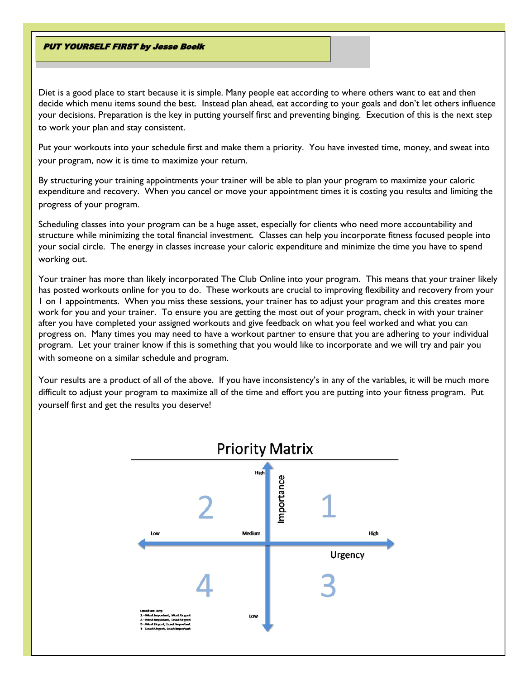## **PUT YOURSELF FIRST by Jesse Boelk**

Diet is a good place to start because it is simple. Many people eat according to where others want to eat and then decide which menu items sound the best. Instead plan ahead, eat according to your goals and don't let others influence your decisions. Preparation is the key in putting yourself first and preventing binging. Execution of this is the next step to work your plan and stay consistent.

Put your workouts into your schedule first and make them a priority. You have invested time, money, and sweat into your program, now it is time to maximize your return.

By structuring your training appointments your trainer will be able to plan your program to maximize your caloric expenditure and recovery. When you cancel or move your appointment times it is costing you results and limiting the progress of your program.

Scheduling classes into your program can be a huge asset, especially for clients who need more accountability and structure while minimizing the total financial investment. Classes can help you incorporate fitness focused people into your social circle. The energy in classes increase your caloric expenditure and minimize the time you have to spend working out.

Your trainer has more than likely incorporated The Club Online into your program. This means that your trainer likely has posted workouts online for you to do. These workouts are crucial to improving flexibility and recovery from your 1 on 1 appointments. When you miss these sessions, your trainer has to adjust your program and this creates more work for you and your trainer. To ensure you are getting the most out of your program, check in with your trainer after you have completed your assigned workouts and give feedback on what you feel worked and what you can progress on. Many times you may need to have a workout partner to ensure that you are adhering to your individual program. Let your trainer know if this is something that you would like to incorporate and we will try and pair you with someone on a similar schedule and program.

Your results are a product of all of the above. If you have inconsistency's in any of the variables, it will be much more difficult to adjust your program to maximize all of the time and effort you are putting into your fitness program. Put yourself first and get the results you deserve!

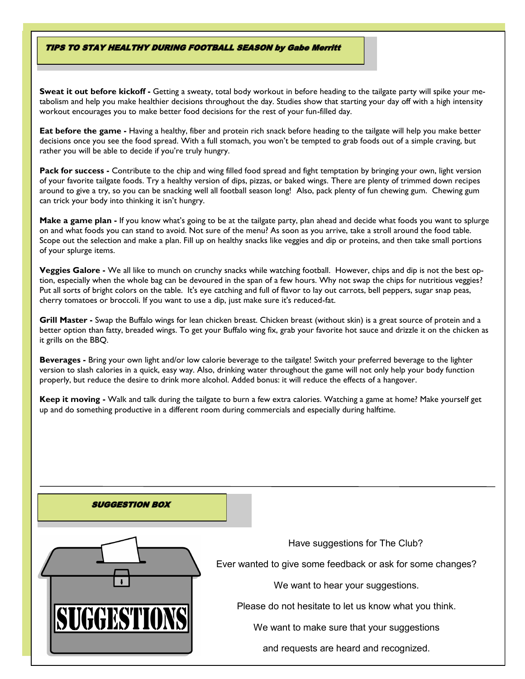### **TIPS TO STAY HEALTHY DURING FOOTBALL SEASON by Gabe Merritt**

**Sweat it out before kickoff -** Getting a sweaty, [total body workout](http://www.fitbodyhq.com/workouts/2-full-body-workouts-no-gym-necessary/) in before heading to the tailgate party will spike your metabolism and help you make healthier decisions throughout the day. Studies show that starting your day off with a high intensity workout encourages you to make better food decisions for the rest of your fun-filled day.

**Eat before the game -** Having a healthy, fiber and [protein rich](http://www.fitbodyhq.com/nutrition/12-delicious-post-workout-protein-shakes/) snack before heading to the tailgate will help you make better decisions once you see the food spread. With a full stomach, you won't be tempted to grab foods out of a simple craving, but rather you will be able to decide if you're truly hungry.

**Pack for success -** Contribute to the chip and wing filled food spread and fight temptation by bringing your own, light version of your favorite tailgate foods. Try a healthy version of dips, pizzas, or baked wings. There are plenty of trimmed down recipes around to give a try, so you can be snacking well all football season long!Also, pack plenty of fun chewing gum. Chewing gum can trick your body into thinking it isn't hungry.

**Make a game plan -** If you know what's going to be at the tailgate party, plan ahead and decide what foods you want to splurge on and what foods you can stand to avoid. Not sure of the menu? As soon as you arrive, take a stroll around the food table. Scope out the selection and make a plan. Fill up on healthy snacks like veggies and dip or proteins, and then take small portions of your splurge items.

**Veggies Galore -** We all like to munch on crunchy snacks while watching football. However, chips and dip is not the best option, especially when the whole bag can be devoured in the span of a few hours. Why not swap the chips for nutritious veggies? Put all sorts of bright colors on the table. It's eye catching and full of flavor to lay out carrots, bell peppers, sugar snap peas, cherry tomatoes or broccoli. If you want to use a dip, just make sure it's reduced-fat.

**Grill Master -** Swap the Buffalo wings for lean chicken breast. Chicken breast (without skin) is a great source of protein and a better option than fatty, breaded wings. To get your Buffalo wing fix, grab your favorite hot sauce and drizzle it on the chicken as it grills on the BBQ.

**Beverages -** Bring your own light and/or low calorie beverage to the tailgate! Switch your preferred beverage to the lighter version to slash calories in a quick, easy way. Also, drinking water throughout the game will not only help your body function properly, but reduce the desire to drink more alcohol. Added bonus: it will reduce the effects of a hangover.

**Keep it moving -** Walk and talk during the tailgate to burn a few extra calories. Watching a game at home? Make yourself get up and do something productive in a different room during commercials and especially during halftime.

#### **SUGGESTION BOX**



Have suggestions for The Club?

Ever wanted to give some feedback or ask for some changes?

We want to hear your suggestions.

Please do not hesitate to let us know what you think.

We want to make sure that your suggestions

and requests are heard and recognized.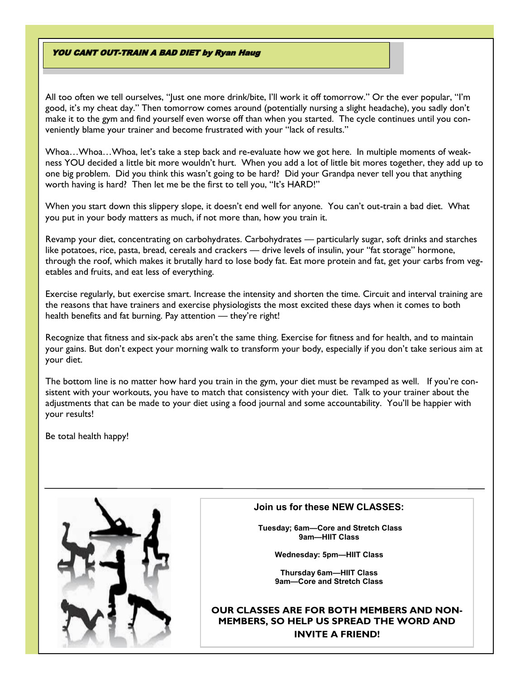## **YOU CANT OUT-TRAIN A BAD DIET by Ryan Haug**

All too often we tell ourselves, "Just one more drink/bite, I'll work it off tomorrow." Or the ever popular, "I'm good, it's my cheat day." Then tomorrow comes around (potentially nursing a slight headache), you sadly don't make it to the gym and find yourself even worse off than when you started. The cycle continues until you conveniently blame your trainer and become frustrated with your "lack of results."

Whoa…Whoa…Whoa, let's take a step back and re-evaluate how we got here. In multiple moments of weakness YOU decided a little bit more wouldn't hurt. When you add a lot of little bit mores together, they add up to one big problem. Did you think this wasn't going to be hard? Did your Grandpa never tell you that anything worth having is hard? Then let me be the first to tell you, "It's HARD!"

When you start down this slippery slope, it doesn't end well for anyone. You can't out-train a bad diet. What you put in your body matters as much, if not more than, how you train it.

Revamp your diet, concentrating on carbohydrates. Carbohydrates — particularly sugar, soft drinks and starches like potatoes, rice, pasta, bread, cereals and crackers — drive levels of insulin, your "fat storage" hormone, through the roof, which makes it brutally hard to lose body fat. Eat more protein and fat, get your carbs from vegetables and fruits, and eat less of everything.

Exercise regularly, but exercise smart. Increase the intensity and shorten the time. Circuit and interval training are the reasons that have trainers and exercise physiologists the most excited these days when it comes to both health benefits and fat burning. Pay attention - they're right!

Recognize that fitness and six-pack abs aren't the same thing. Exercise for fitness and for health, and to maintain your gains. But don't expect your morning walk to transform your body, especially if you don't take serious aim at your diet.

The bottom line is no matter how hard you train in the gym, your diet must be revamped as well. If you're consistent with your workouts, you have to match that consistency with your diet. Talk to your trainer about the adjustments that can be made to your diet using a food journal and some accountability. You'll be happier with your results!

Be total health happy!



## **Join us for these NEW CLASSES:**

**Tuesday; 6am—Core and Stretch Class 9am—HIIT Class**

**Wednesday: 5pm—HIIT Class**

**Thursday 6am—HIIT Class 9am—Core and Stretch Class**

# **OUR CLASSES ARE FOR BOTH MEMBERS AND NON-MEMBERS, SO HELP US SPREAD THE WORD AND INVITE A FRIEND!**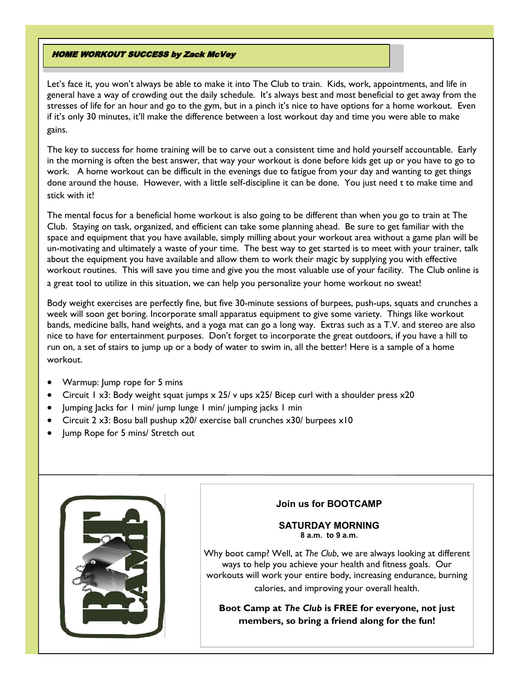## **HOME WORKOUT SUCCESS by Zack McVey**

Let's face it, you won't always be able to make it into The Club to train. Kids, work, appointments, and life in general have a way of crowding out the daily schedule. It's always best and most beneficial to get away from the stresses of life for an hour and go to the gym, but in a pinch it's nice to have options for a home workout. Even if it's only 30 minutes, it'll make the difference between a lost workout day and time you were able to make gains.

The key to success for home training will be to carve out a consistent time and hold yourself accountable. Early in the morning is often the best answer, that way your workout is done before kids get up or you have to go to work. A home workout can be difficult in the evenings due to fatigue from your day and wanting to get things done around the house. However, with a little self-discipline it can be done. You just need t to make time and stick with it!

The mental focus for a beneficial home workout is also going to be different than when you go to train at The Club. Staying on task, organized, and efficient can take some planning ahead. Be sure to get familiar with the space and equipment that you have available, simply milling about your workout area without a game plan will be un-motivating and ultimately a waste of your time. The best way to get started is to meet with your trainer, talk about the equipment you have available and allow them to work their magic by supplying you with effective workout routines. This will save you time and give you the most valuable use of your facility. The Club online is a great tool to utilize in this situation, we can help you personalize your home workout no sweat!

Body weight exercises are perfectly fine, but five 30-minute sessions of burpees, push-ups, squats and crunches a week will soon get boring. Incorporate small apparatus equipment to give some variety. Things like workout bands, medicine balls, hand weights, and a yoga mat can go a long way. Extras such as a T.V. and stereo are also nice to have for entertainment purposes. Don't forget to incorporate the great outdoors, if you have a hill to run on, a set of stairs to jump up or a body of water to swim in, all the better! Here is a sample of a home workout.

- Warmup: Jump rope for 5 mins
- Circuit 1 x3: Body weight squat jumps  $\times$  25/ v ups  $\times$  25/ Bicep curl with a shoulder press  $\times$  20
- Jumping Jacks for 1 min/ jump lunge 1 min/ jumping jacks 1 min
- Circuit 2 x3: Bosu ball pushup x20/ exercise ball crunches x30/ burpees x10
- Jump Rope for 5 mins/ Stretch out



# **Join us for BOOTCAMP**

## **SATURDAY MORNING 8 a.m. to 9 a.m.**

Why boot camp? Well, at *The Club*, we are always looking at different ways to help you achieve your health and fitness goals. Our workouts will work your entire body, increasing endurance, burning calories, and improving your overall health.

**Boot Camp at** *The Club* **is FREE for everyone, not just members, so bring a friend along for the fun!**